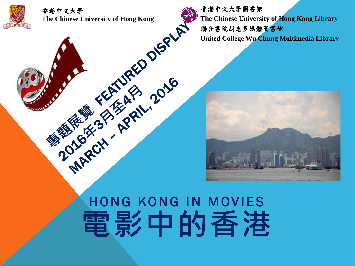



香港中文大學圖書館 **The Chinese University of Hong Kong Library** 聯合書院胡忠多媒體圖書館

**United College Wu Chung Multimedia Library**



# HONG KONG IN MOVIES **電影中的香港**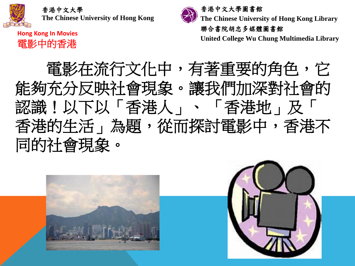

**Hong Kong In Movies** 電影中的香港



**The Chinese University of Hong Kong Library**

聯合書院胡忠多媒體圖書館

**United College Wu Chung Multimedia Library**

電影在流行文化中,有著重要的角色,它 能夠充分反映社會現象。讓我們加深對社會的 認識!以下以「香港人」、 「香港地」及「 香港的生活」為題,從而探討電影中,香港不 同的社會現象。

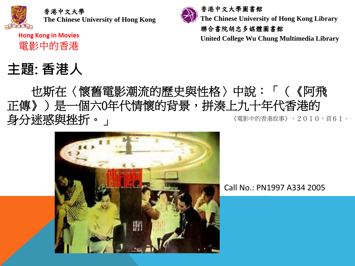

**Hong Kong In Movies** 電影中的香港

# **主題: 香港人**



聯合書院胡忠多媒體圖書館

**United College Wu Chung Multimedia Library**

### 《電影中的香港故事》,2010,頁61。 也斯在〈懷舊電影潮流的歷史與性格〉中說:「(《阿飛 正傳》)是一個六0年代情懷的背景,拼湊上九十年代香港的 身分迷惑與挫折。」



Call No.: PN1997 A334 2005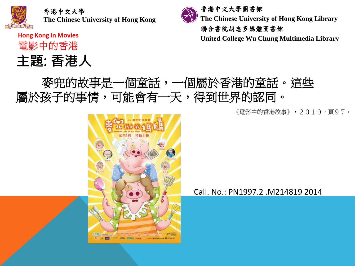

**Hong Kong In Movies** 

電影中的香港

**主題: 香港人**



**The Chinese University of Hong Kong Library**

聯合書院胡忠多媒體圖書館

**United College Wu Chung Multimedia Library**

### 麥兜的故事是一個童話,一個屬於香港的童話。這些 屬於孩子的事情,可能會有一天,得到世界的認同。

《電影中的香港故事》,2010,頁97。



Call. No.: PN1997.2 .M214819 2014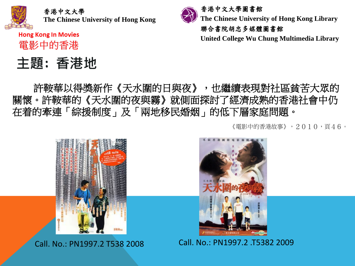電影中的香港

## 主題: 香港地



**The Chinese University of Hong Kong Library**

聯合書院胡忠多媒體圖書館

**United College Wu Chung Multimedia Library**

許鞍華以得獎新作《天水圍的日與夜》,也繼續表現對社區貧苦大眾的 關懷。許鞍華的《天水圍的夜與霧》就側面探討了經濟成熟的香港社會中仍 在着的牽連「綜援制度」及「兩地移民婚姻」的低下層家庭問題。

《電影中的香港故事》,2010,頁46。





Call. No.: PN1997.2 T538 2008 Call. No.: PN1997.2 .T5382 2009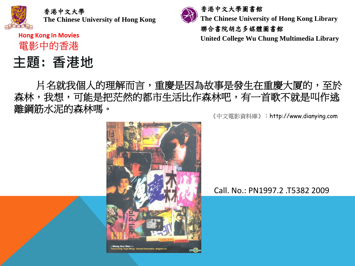電影中的香港

### **主題: 香港地**



**United College Wu Chung Multimedia Library**

片名就我個人的理解而言,重慶是因為故事是發生在重慶大厦的,至於 森林,我想,可能是把茫然的都市生活比作森林吧,有一首歌不就是叫作逃 離鋼筋水泥的森林嗎。

《中文電影資料庫》:http://www.dianying.com



### Call. No.: PN1997.2 .T5382 2009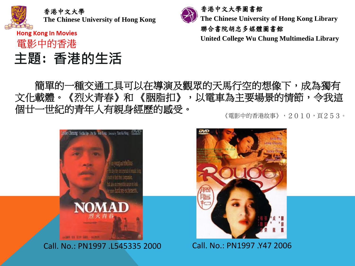**Hong Kong In Movies** 電影中的香港

# **主題: 香港的生活**



**The Chinese University of Hong Kong Library**

聯合書院胡忠多媒體圖書館

**United College Wu Chung Multimedia Library**

### 簡單的一種交通工具可以在導演及觀眾的天馬行空的想像下,成為獨有 文化載體。《烈火青春》和 《胭脂扣》,以電車為主要場景的情節,令我這 個廿一世紀的青年人有親身經歷的感受。

《電影中的香港故事》,2010,頁253。



Call. No.: PN1997 .L545335 2000 Call. No.: PN1997 .Y47 2006

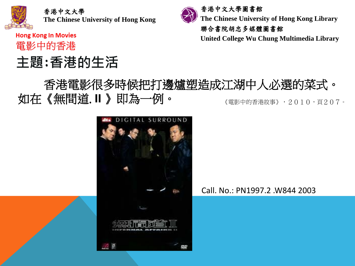**Hong Kong In Movies** 電影中的香港

# **主題:香港的生活**



**The Chinese University of Hong Kong Library**

聯合書院胡忠多媒體圖書館

**United College Wu Chung Multimedia Library**

### 香港電影很多時候把打邊爐[塑造成江湖中人必選的菜式。](http://www.google.com.hk/url?sa=i&rct=j&q=&esrc=s&frm=1&source=images&cd=&cad=rja&uact=8&ved=0ahUKEwjPxNyUwIPLAhUJoJQKHReFC00QjRwIBw&url=http%3A%2F%2Fwww.dnvod.eu%2FMovie%2Fdetail.aspx%3Fid%3DTOorg6L0kjg%253D&psig=AFQjCNHC1bCVaSH-yElhbRJWUEborWfjBQ&ust=1455959685454073) 如在《無間道. **II** 》即為一例。 《電影中的香港故事》,2010,頁207。



Call. No.: PN1997.2 .W844 2003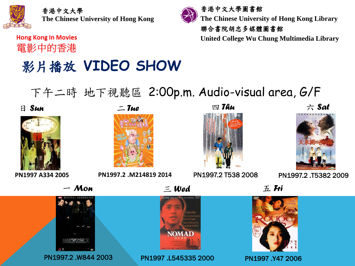

**Hong Kong In Movies** 電影中的香港

# 影片播放 **VIDEO SHOW**

香港中文大學圖書館 **The Chinese University of Hong Kong Library** 聯合書院胡忠多媒體圖書館

**United College Wu Chung Multimedia Library**

# 下午二時 地下視聽區 2:00p.m. Audio-visual area, G/F

日 *Sun*









**PN1997 A334 2005 PN1997.2 .M214819 2014** PN1997.2 T538 2008 PN1997.2 .T5382 2009

一 *Mon* 三 *Wed*



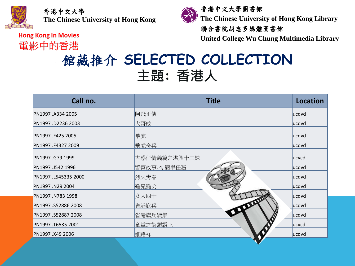香港中文大學

**The Chinese University of Hong Kong**

**Hong Kong In Movies** 電影中的香港



香港中文大學圖書館 **The Chinese University of Hong Kong Library**

### 聯合書院胡忠多媒體圖書館

**United College Wu Chung Multimedia Library**

# 館藏推介 **SELECTED COLLECTION 主題: 香港人**

| Call no.             | <b>Title</b>          | <b>Location</b> |
|----------------------|-----------------------|-----------------|
| PN1997 .A334 2005    | 阿飛正傳                  | lucdvd          |
| PN1997.D2236 2003    | 大哥成                   | ucdvd           |
| PN1997 .F425 2005    | 飛虎                    | ucdvd           |
| PN1997.F4327 2009    | 飛虎奇兵                  | ucdvd           |
| PN1997 .G79 1999     | 古惑仔情義篇之洪興十三妹          | lucycd          |
| PN1997 .J542 1996    | 警察故事.4,簡單任務           | ucdvd           |
| PN1997 .L545335 2000 | 烈火靑春                  | ucdvd           |
| PN1997.N29 2004      | 難兄難弟                  | <b>ucdvd</b>    |
| PN1997 .N783 1998    | The Local and<br>女人四十 | ucdvd           |
| PN1997 .S52886 2008  | <b>TIME</b><br>省港旗兵   | lucdvd          |
| PN1997 .S52887 2008  | 省港旗兵續集                | lucdvd          |
| PN1997.T6535 2001    | 童黨之街頭霸王               | <b>ucvcd</b>    |
| PN1997 .X49 2006     | 細路祥                   | ucdvd           |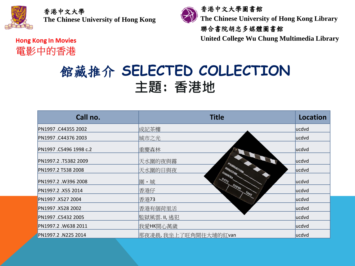

香港中文大學圖書館 **The Chinese University of Hong Kong Library**

聯合書院胡忠多媒體圖書館

**United College Wu Chung Multimedia Library**

**Hong Kong In Movies** 電影中的香港

# 館藏推介 **SELECTED COLLECTION 主題: 香港地**

| Call no.               | <b>Title</b>                                    | <b>Location</b> |
|------------------------|-------------------------------------------------|-----------------|
| PN1997 .C44355 2002    | 成記茶樓                                            | lucdvd          |
| PN1997 .C44376 2003    | 城市之光                                            | lucdvd          |
| PN1997 .C5496 1998 c.2 | 重慶森林                                            | lucdvd          |
| PN1997.2.T5382 2009    | <b>COLLEGE COLLEGE COLLEGE</b><br>天水圍的夜與霧       | lucdvd          |
| PN1997.2 T538 2008     | <b><i>FRODUCTION</i></b><br>DIRECTOR<br>天水圍的日與夜 | lucdvd          |
| PN1997.2 .W396 2008    | CAMERA<br>DATE<br>圍・城                           | lucdvd          |
| PN1997.2 .X55 2014     | SCENE<br>香港仔<br>TAKE                            | lucdvd          |
| PN1997 .X527 2004      | 香港73                                            | lucdvd          |
| PN1997 .X528 2002      | 香港有個荷里活                                         | ucdvd           |
| PN1997 .C5432 2005     | 監獄風雲. II, 逃犯                                    | ucdvd           |
| PN1997.2.W638 2011     | 我愛HK開心萬歲                                        | lucdvd          |
| PN1997.2 .N225 2014    | 那夜凌晨,我坐上了旺角開往大埔的紅van                            | lucdvd          |